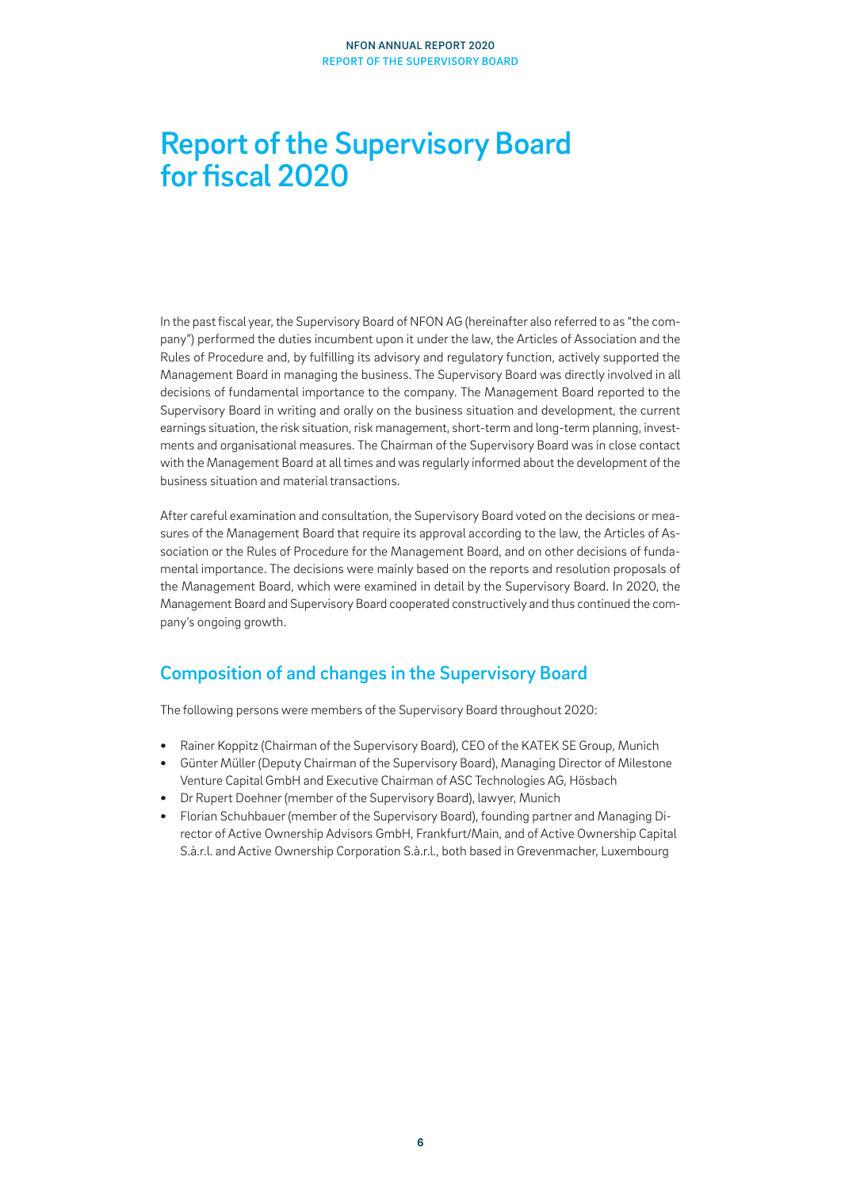# Report of the Supervisory Board for fiscal 2020

In the past fiscal year, the Supervisory Board of NFON AG (hereinafter also referred to as "the company") performed the duties incumbent upon it under the law, the Articles of Association and the Rules of Procedure and, by fulfilling its advisory and regulatory function, actively supported the Management Board in managing the business. The Supervisory Board was directly involved in all decisions of fundamental importance to the company. The Management Board reported to the Supervisory Board in writing and orally on the business situation and development, the current earnings situation, the risk situation, risk management, short-term and long-term planning, investments and organisational measures. The Chairman of the Supervisory Board was in close contact with the Management Board at all times and was regularly informed about the development of the business situation and material transactions.

After careful examination and consultation, the Supervisory Board voted on the decisions or measures of the Management Board that require its approval according to the law, the Articles of Association or the Rules of Procedure for the Management Board, and on other decisions of fundamental importance. The decisions were mainly based on the reports and resolution proposals of the Management Board, which were examined in detail by the Supervisory Board. In 2020, the Management Board and Supervisory Board cooperated constructively and thus continued the company's ongoing growth.

## Composition of and changes in the Supervisory Board

The following persons were members of the Supervisory Board throughout 2020:

- **•** Rainer Koppitz (Chairman of the Supervisory Board), CEO of the KATEK SE Group, Munich
- **•** Günter Müller (Deputy Chairman of the Supervisory Board), Managing Director of Milestone Venture Capital GmbH and Executive Chairman of ASC Technologies AG, Hösbach
- **•** Dr Rupert Doehner (member of the Supervisory Board), lawyer, Munich
- **•** Florian Schuhbauer (member of the Supervisory Board), founding partner and Managing Director of Active Ownership Advisors GmbH, Frankfurt/Main, and of Active Ownership Capital S.à.r.l. and Active Ownership Corporation S.à.r.l., both based in Grevenmacher, Luxembourg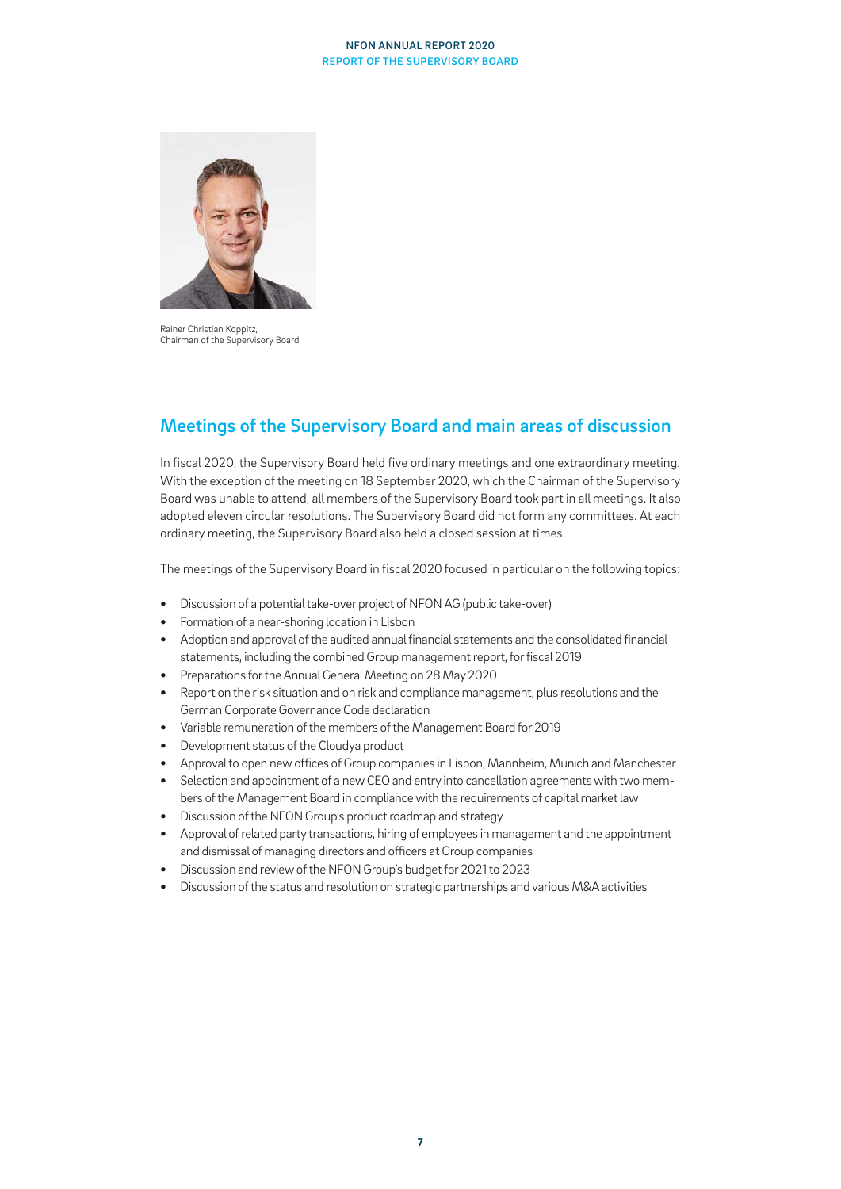#### NFON ANNUAL REPORT 2020 REPORT OF THE SUPERVISORY BOARD



Rainer Christian Koppitz, Chairman of the Supervisory Board

## Meetings of the Supervisory Board and main areas of discussion

In fiscal 2020, the Supervisory Board held five ordinary meetings and one extraordinary meeting. With the exception of the meeting on 18 September 2020, which the Chairman of the Supervisory Board was unable to attend, all members of the Supervisory Board took part in all meetings. It also adopted eleven circular resolutions. The Supervisory Board did not form any committees. At each ordinary meeting, the Supervisory Board also held a closed session at times.

The meetings of the Supervisory Board in fiscal 2020 focused in particular on the following topics:

- **•** Discussion of a potential take-over project of NFON AG (public take-over)
- **•** Formation of a near-shoring location in Lisbon
- **•** Adoption and approval of the audited annual financial statements and the consolidated financial statements, including the combined Group management report, for fiscal 2019
- **•** Preparations for the Annual General Meeting on 28 May 2020
- **•** Report on the risk situation and on risk and compliance management, plus resolutions and the German Corporate Governance Code declaration
- **•** Variable remuneration of the members of the Management Board for 2019
- **•** Development status of the Cloudya product
- **•** Approval to open new offices of Group companies in Lisbon, Mannheim, Munich and Manchester
- **•** Selection and appointment of a new CEO and entry into cancellation agreements with two members of the Management Board in compliance with the requirements of capital market law
- **•** Discussion of the NFON Group's product roadmap and strategy
- **•** Approval of related party transactions, hiring of employees in management and the appointment and dismissal of managing directors and officers at Group companies
- **•** Discussion and review of the NFON Group's budget for 2021 to 2023
- **•** Discussion of the status and resolution on strategic partnerships and various M&A activities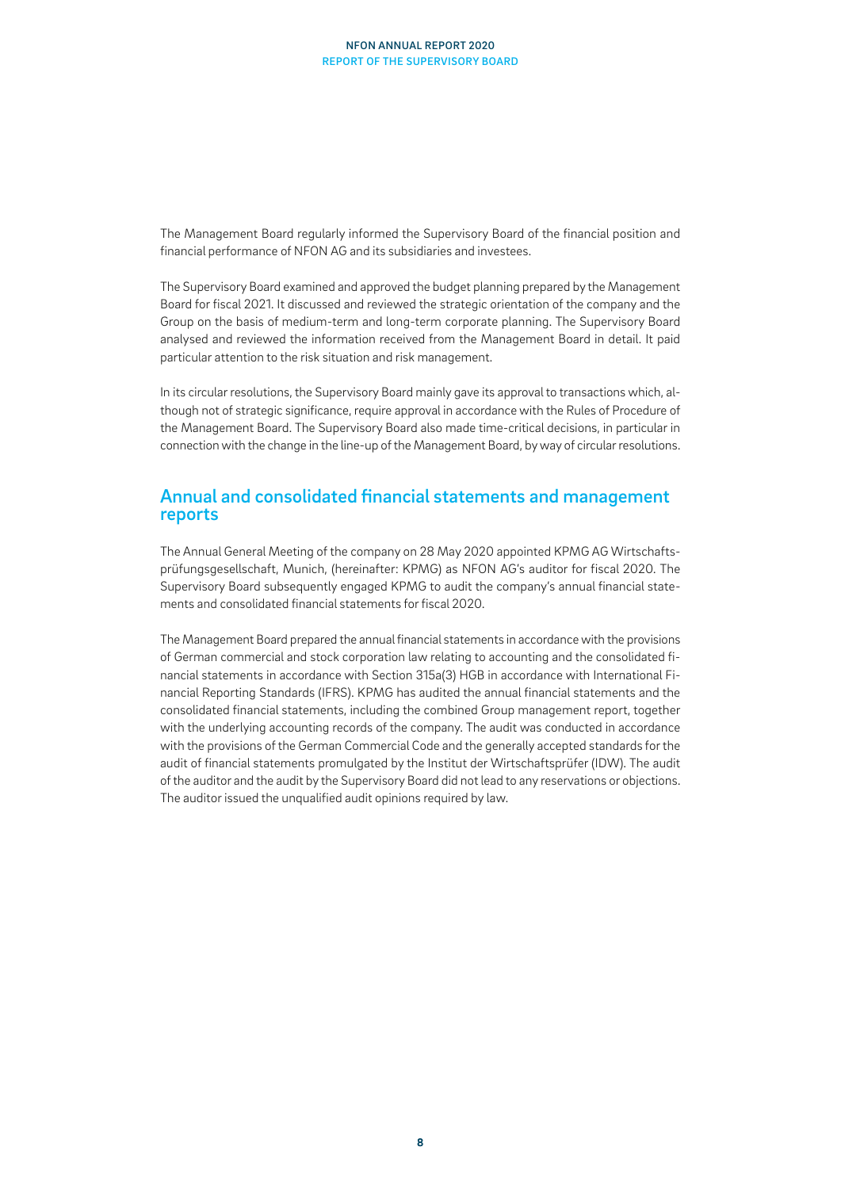The Management Board regularly informed the Supervisory Board of the financial position and financial performance of NFON AG and its subsidiaries and investees.

The Supervisory Board examined and approved the budget planning prepared by the Management Board for fiscal 2021. It discussed and reviewed the strategic orientation of the company and the Group on the basis of medium-term and long-term corporate planning. The Supervisory Board analysed and reviewed the information received from the Management Board in detail. It paid particular attention to the risk situation and risk management.

In its circular resolutions, the Supervisory Board mainly gave its approval to transactions which, although not of strategic significance, require approval in accordance with the Rules of Procedure of the Management Board. The Supervisory Board also made time-critical decisions, in particular in connection with the change in the line-up of the Management Board, by way of circular resolutions.

### Annual and consolidated financial statements and management reports

The Annual General Meeting of the company on 28 May 2020 appointed KPMG AG Wirtschaftsprüfungsgesellschaft, Munich, (hereinafter: KPMG) as NFON AG's auditor for fiscal 2020. The Supervisory Board subsequently engaged KPMG to audit the company's annual financial statements and consolidated financial statements for fiscal 2020.

The Management Board prepared the annual financial statements in accordance with the provisions of German commercial and stock corporation law relating to accounting and the consolidated financial statements in accordance with Section 315a(3) HGB in accordance with International Financial Reporting Standards (IFRS). KPMG has audited the annual financial statements and the consolidated financial statements, including the combined Group management report, together with the underlying accounting records of the company. The audit was conducted in accordance with the provisions of the German Commercial Code and the generally accepted standards for the audit of financial statements promulgated by the Institut der Wirtschaftsprüfer (IDW). The audit of the auditor and the audit by the Supervisory Board did not lead to any reservations or objections. The auditor issued the unqualified audit opinions required by law.